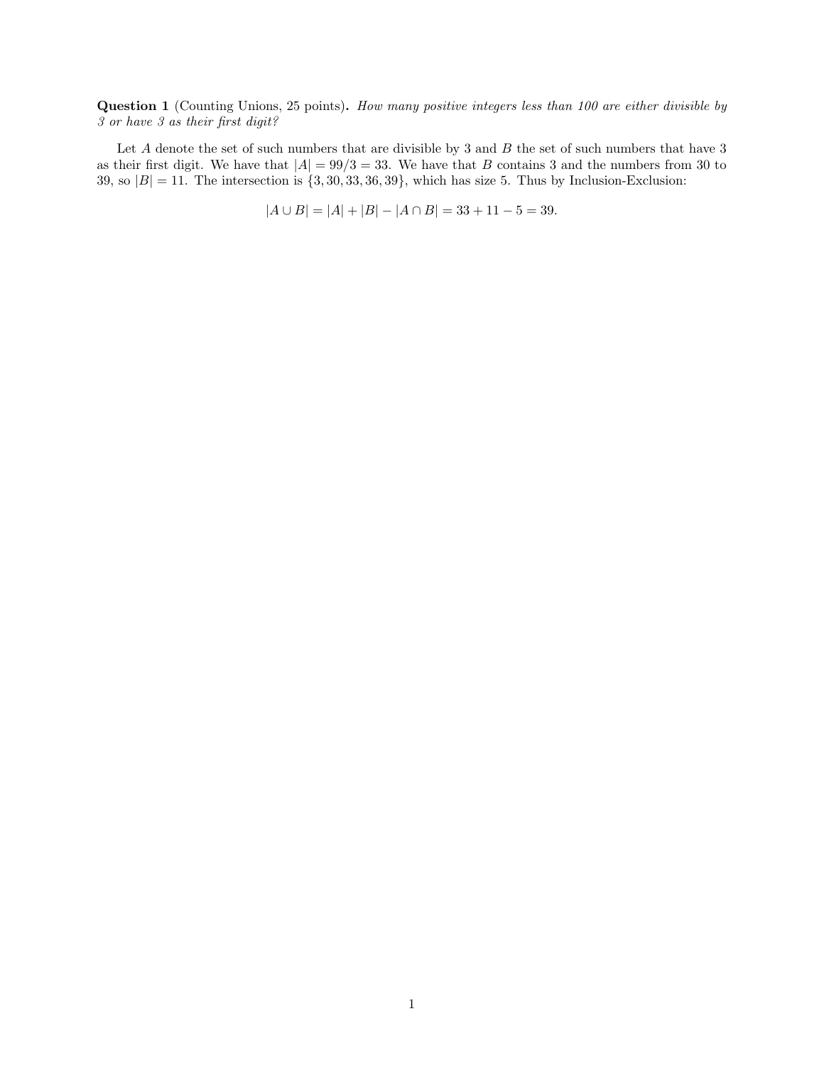Question 1 (Counting Unions, 25 points). How many positive integers less than 100 are either divisible by 3 or have 3 as their first digit?

Let  $A$  denote the set of such numbers that are divisible by 3 and  $B$  the set of such numbers that have 3 as their first digit. We have that  $|A| = 99/3 = 33$ . We have that B contains 3 and the numbers from 30 to 39, so  $|B| = 11$ . The intersection is  $\{3, 30, 33, 36, 39\}$ , which has size 5. Thus by Inclusion-Exclusion:

 $|A \cup B| = |A| + |B| - |A \cap B| = 33 + 11 - 5 = 39.$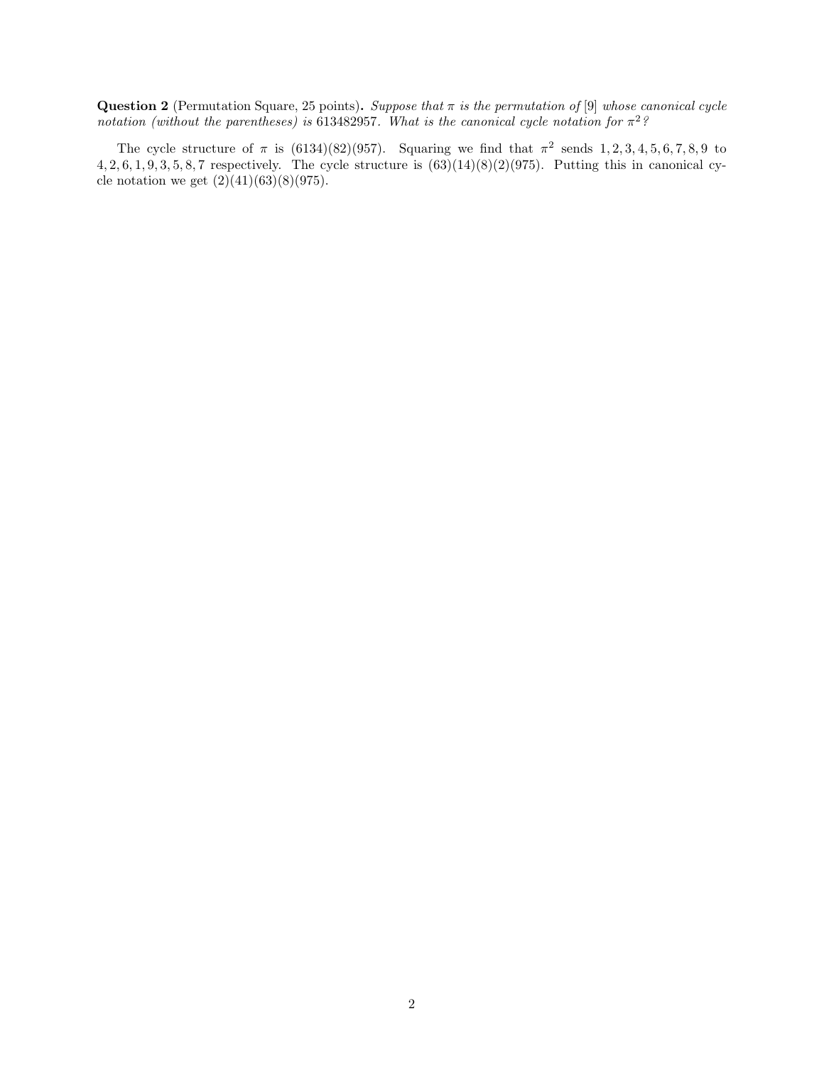Question 2 (Permutation Square, 25 points). Suppose that  $\pi$  is the permutation of [9] whose canonical cycle notation (without the parentheses) is 613482957. What is the canonical cycle notation for  $\pi^2$ ?

The cycle structure of  $\pi$  is (6134)(82)(957). Squaring we find that  $\pi^2$  sends 1, 2, 3, 4, 5, 6, 7, 8, 9 to  $4, 2, 6, 1, 9, 3, 5, 8, 7$  respectively. The cycle structure is  $(63)(14)(8)(2)(975)$ . Putting this in canonical cycle notation we get  $(2)(41)(63)(8)(975)$ .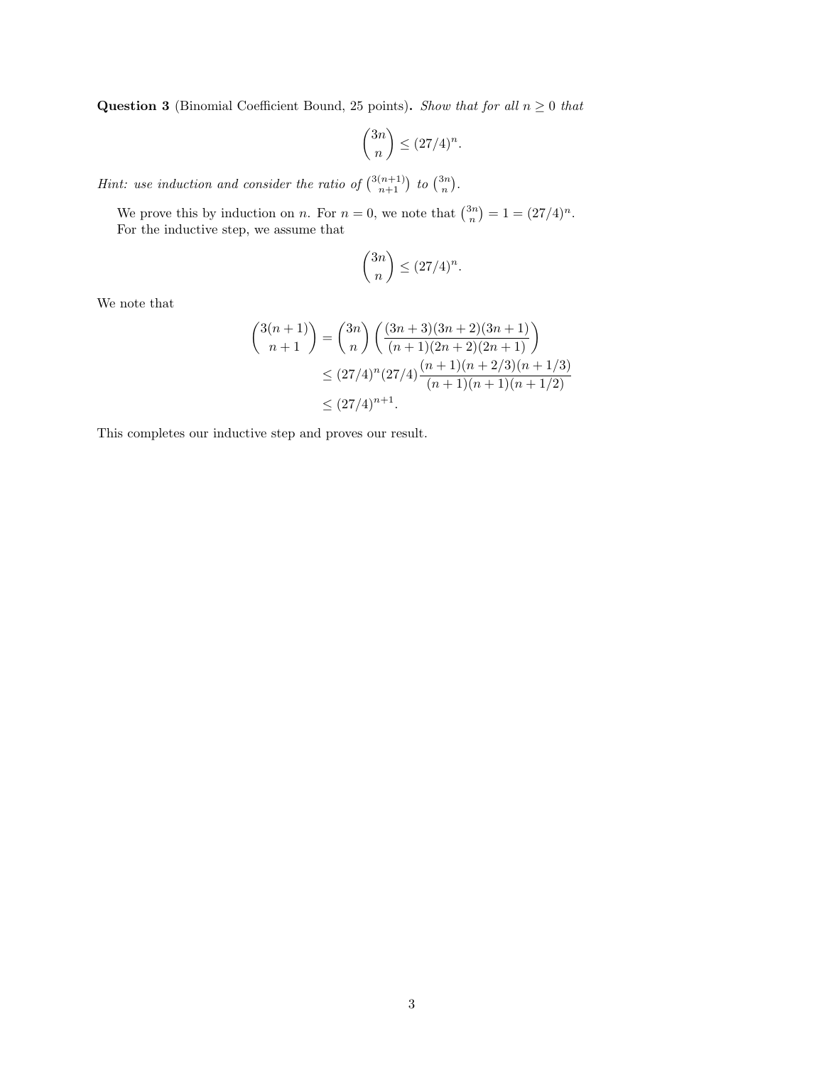**Question 3** (Binomial Coefficient Bound, 25 points). Show that for all  $n \geq 0$  that

$$
\binom{3n}{n} \le (27/4)^n.
$$

*Hint:* use induction and consider the ratio of  $\binom{3(n+1)}{n+1}$  to  $\binom{3n}{n}$ .

We prove this by induction on *n*. For  $n = 0$ , we note that  $\binom{3n}{n} = 1 = (27/4)^n$ . For the inductive step, we assume that

$$
\binom{3n}{n} \le (27/4)^n.
$$

We note that

$$
\binom{3(n+1)}{n+1} = \binom{3n}{n} \left( \frac{(3n+3)(3n+2)(3n+1)}{(n+1)(2n+2)(2n+1)} \right)
$$
  
\n
$$
\leq (27/4)^n (27/4) \frac{(n+1)(n+2/3)(n+1/3)}{(n+1)(n+1)(n+1/2)}
$$
  
\n
$$
\leq (27/4)^{n+1}.
$$

This completes our inductive step and proves our result.